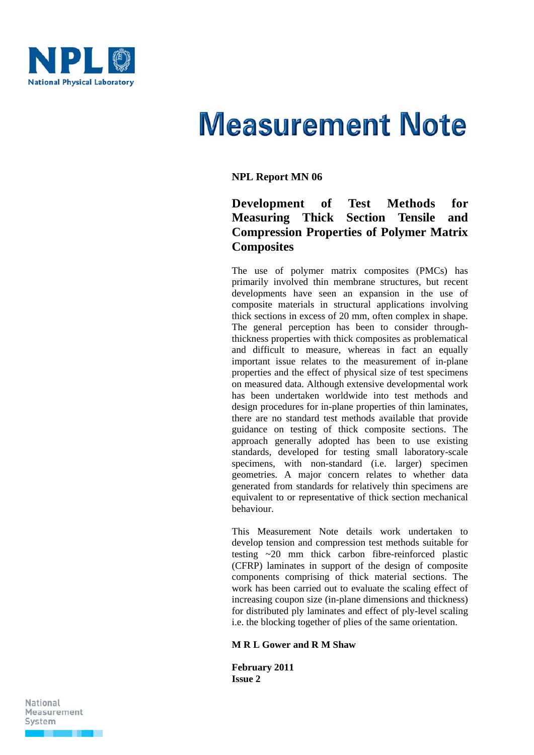

# **Measurement Note**

# **NPL Report MN 06**

# **Development of Test Methods for Measuring Thick Section Tensile and Compression Properties of Polymer Matrix Composites**

The use of polymer matrix composites (PMCs) has primarily involved thin membrane structures, but recent developments have seen an expansion in the use of composite materials in structural applications involving thick sections in excess of 20 mm, often complex in shape. The general perception has been to consider throughthickness properties with thick composites as problematical and difficult to measure, whereas in fact an equally important issue relates to the measurement of in-plane properties and the effect of physical size of test specimens on measured data. Although extensive developmental work has been undertaken worldwide into test methods and design procedures for in-plane properties of thin laminates, there are no standard test methods available that provide guidance on testing of thick composite sections. The approach generally adopted has been to use existing standards, developed for testing small laboratory-scale specimens, with non-standard (i.e. larger) specimen geometries. A major concern relates to whether data generated from standards for relatively thin specimens are equivalent to or representative of thick section mechanical behaviour.

This Measurement Note details work undertaken to develop tension and compression test methods suitable for testing ~20 mm thick carbon fibre-reinforced plastic (CFRP) laminates in support of the design of composite components comprising of thick material sections. The work has been carried out to evaluate the scaling effect of increasing coupon size (in-plane dimensions and thickness) for distributed ply laminates and effect of ply-level scaling i.e. the blocking together of plies of the same orientation.

#### **M R L Gower and R M Shaw**

**February 2011 Issue 2** 

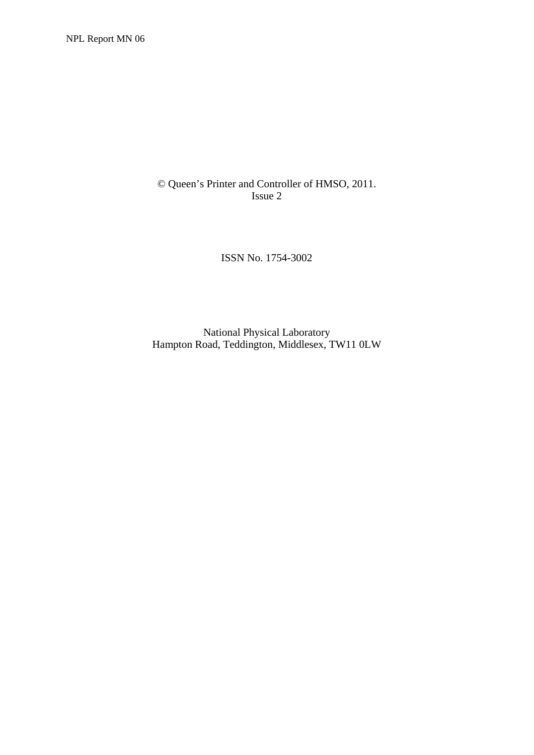© Queen's Printer and Controller of HMSO, 2011. Issue 2

ISSN No. 1754-3002

National Physical Laboratory Hampton Road, Teddington, Middlesex, TW11 0LW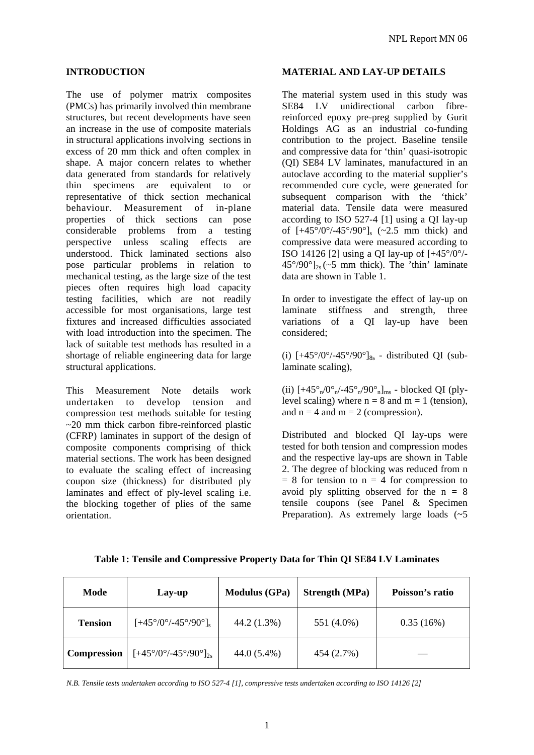#### **INTRODUCTION**

The use of polymer matrix composites (PMCs) has primarily involved thin membrane structures, but recent developments have seen an increase in the use of composite materials in structural applications involving sections in excess of 20 mm thick and often complex in shape. A major concern relates to whether data generated from standards for relatively thin specimens are equivalent to or representative of thick section mechanical behaviour. Measurement of in-plane properties of thick sections can pose considerable problems from a testing perspective unless scaling effects are understood. Thick laminated sections also pose particular problems in relation to mechanical testing, as the large size of the test pieces often requires high load capacity testing facilities, which are not readily accessible for most organisations, large test fixtures and increased difficulties associated with load introduction into the specimen. The lack of suitable test methods has resulted in a shortage of reliable engineering data for large structural applications.

This Measurement Note details work undertaken to develop tension and compression test methods suitable for testing ~20 mm thick carbon fibre-reinforced plastic (CFRP) laminates in support of the design of composite components comprising of thick material sections. The work has been designed to evaluate the scaling effect of increasing coupon size (thickness) for distributed ply laminates and effect of ply-level scaling i.e. the blocking together of plies of the same orientation.

#### **MATERIAL AND LAY-UP DETAILS**

The material system used in this study was SE84 LV unidirectional carbon fibrereinforced epoxy pre-preg supplied by Gurit Holdings AG as an industrial co-funding contribution to the project. Baseline tensile and compressive data for 'thin' quasi-isotropic (QI) SE84 LV laminates, manufactured in an autoclave according to the material supplier's recommended cure cycle, were generated for subsequent comparison with the 'thick' material data. Tensile data were measured according to ISO 527-4 [1] using a QI lay-up of  $[+45^{\circ}/0^{\circ}/-45^{\circ}/90^{\circ}]_s$  (~2.5 mm thick) and compressive data were measured according to ISO 14126 [2] using a OI lay-up of  $[+45^{\circ}/0^{\circ}/ 45^{\circ}/90^{\circ}$ <sub>2s</sub> (~5 mm thick). The 'thin' laminate data are shown in Table 1.

In order to investigate the effect of lay-up on laminate stiffness and strength, three variations of a QI lay-up have been considered;

(i)  $[+45^{\circ}/0^{\circ}/-45^{\circ}/90^{\circ}]_{8s}$  - distributed QI (sublaminate scaling),

(ii)  $[+45^{\circ}]/0^{\circ}$ <sub>n</sub> $/45^{\circ}$ <sub>n</sub> $/90^{\circ}$ <sub>n</sub> $]$ <sub>ms</sub> - blocked QI (plylevel scaling) where  $n = 8$  and  $m = 1$  (tension), and  $n = 4$  and  $m = 2$  (compression).

Distributed and blocked QI lay-ups were tested for both tension and compression modes and the respective lay-ups are shown in Table 2. The degree of blocking was reduced from n  $= 8$  for tension to  $n = 4$  for compression to avoid ply splitting observed for the  $n = 8$ tensile coupons (see Panel & Specimen Preparation). As extremely large loads  $(5)$ 

| Mode               | Lay-up                                                | <b>Modulus (GPa)</b> | <b>Strength (MPa)</b> | Poisson's ratio |
|--------------------|-------------------------------------------------------|----------------------|-----------------------|-----------------|
| <b>Tension</b>     | $[+45^{\circ}/0^{\circ}/-45^{\circ}/90^{\circ}]_{s}$  | 44.2 (1.3%)          | 551 (4.0%)            | 0.35(16%)       |
| <b>Compression</b> | $[+45^{\circ}/0^{\circ}/-45^{\circ}/90^{\circ}]_{2s}$ | 44.0 (5.4%)          | 454 (2.7%)            |                 |

**Table 1: Tensile and Compressive Property Data for Thin QI SE84 LV Laminates** 

*N.B. Tensile tests undertaken according to ISO 527-4 [1], compressive tests undertaken according to ISO 14126 [2]*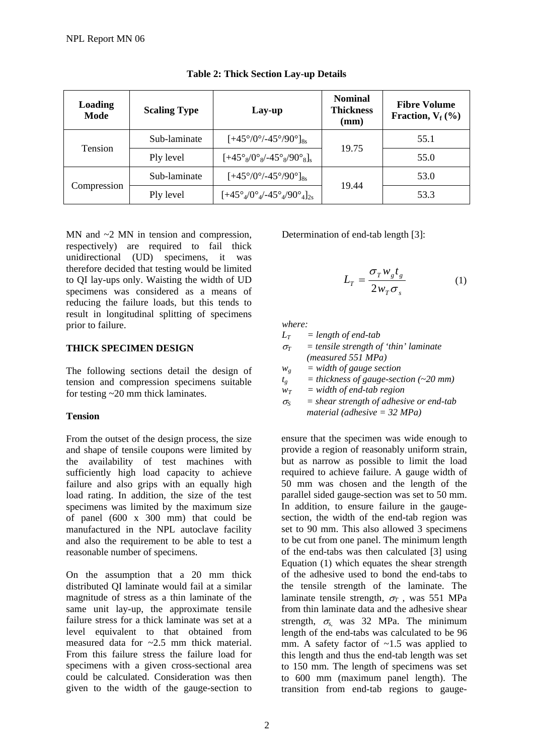| Loading<br>Mode | <b>Scaling Type</b> | Lay-up                                                               | <b>Nominal</b><br><b>Thickness</b><br>(mm) | <b>Fibre Volume</b><br>Fraction, $V_f$ (%) |
|-----------------|---------------------|----------------------------------------------------------------------|--------------------------------------------|--------------------------------------------|
| Tension         | Sub-laminate        | $[+45^{\circ}/0^{\circ}/-45^{\circ}/90^{\circ}]_{8s}$                | 19.75                                      | 55.1                                       |
|                 | Ply level           | $[+45^{\circ}_{8}/0^{\circ}_{8}/-45^{\circ}_{8}/90^{\circ}_{8}]_{s}$ |                                            | 55.0                                       |
|                 | Sub-laminate        | $[+45^{\circ}/0^{\circ}/-45^{\circ}/90^{\circ}]_{8s}$                |                                            | 53.0                                       |
| Compression     | Ply level           | $[+45^\circ_4/0^\circ_4/-45^\circ_4/90^\circ_4]_{2s}$                | 19.44                                      | 53.3                                       |

# **Table 2: Thick Section Lay-up Details**

MN and  $\sim$ 2 MN in tension and compression, respectively) are required to fail thick unidirectional (UD) specimens, it was therefore decided that testing would be limited to QI lay-ups only. Waisting the width of UD specimens was considered as a means of reducing the failure loads, but this tends to result in longitudinal splitting of specimens prior to failure.

# **THICK SPECIMEN DESIGN**

The following sections detail the design of tension and compression specimens suitable for testing ~20 mm thick laminates.

# **Tension**

From the outset of the design process, the size and shape of tensile coupons were limited by the availability of test machines with sufficiently high load capacity to achieve failure and also grips with an equally high load rating. In addition, the size of the test specimens was limited by the maximum size of panel (600 x 300 mm) that could be manufactured in the NPL autoclave facility and also the requirement to be able to test a reasonable number of specimens.

On the assumption that a 20 mm thick distributed QI laminate would fail at a similar magnitude of stress as a thin laminate of the same unit lay-up, the approximate tensile failure stress for a thick laminate was set at a level equivalent to that obtained from measured data for  $\approx 2.5$  mm thick material. From this failure stress the failure load for specimens with a given cross-sectional area could be calculated. Consideration was then given to the width of the gauge-section to

Determination of end-tab length [3]:

$$
L_T = \frac{\sigma_T w_s t_s}{2w_T \sigma_s} \tag{1}
$$

*where:* 

 $L_T = length \ of \ end$ -tab

 $\sigma_T$  = tensile strength of 'thin' laminate *(measured 551 MPa)* 

 $w_e$  = width of gauge section

 $t_g$  = thickness of gauge-section (~20 mm)

 $w_T$  = width of end-tab region

 $\sigma_S$  = *shear strength of adhesive or end-tab material (adhesive = 32 MPa)* 

ensure that the specimen was wide enough to provide a region of reasonably uniform strain, but as narrow as possible to limit the load required to achieve failure. A gauge width of 50 mm was chosen and the length of the parallel sided gauge-section was set to 50 mm. In addition, to ensure failure in the gaugesection, the width of the end-tab region was set to 90 mm. This also allowed 3 specimens to be cut from one panel. The minimum length of the end-tabs was then calculated [3] using Equation (1) which equates the shear strength of the adhesive used to bond the end-tabs to the tensile strength of the laminate. The laminate tensile strength,  $\sigma_T$ , was 551 MPa from thin laminate data and the adhesive shear strength, <sup>σ</sup>*s,* was 32 MPa. The minimum length of the end-tabs was calculated to be 96 mm. A safety factor of  $\sim$ 1.5 was applied to this length and thus the end-tab length was set to 150 mm. The length of specimens was set to 600 mm (maximum panel length). The transition from end-tab regions to gauge-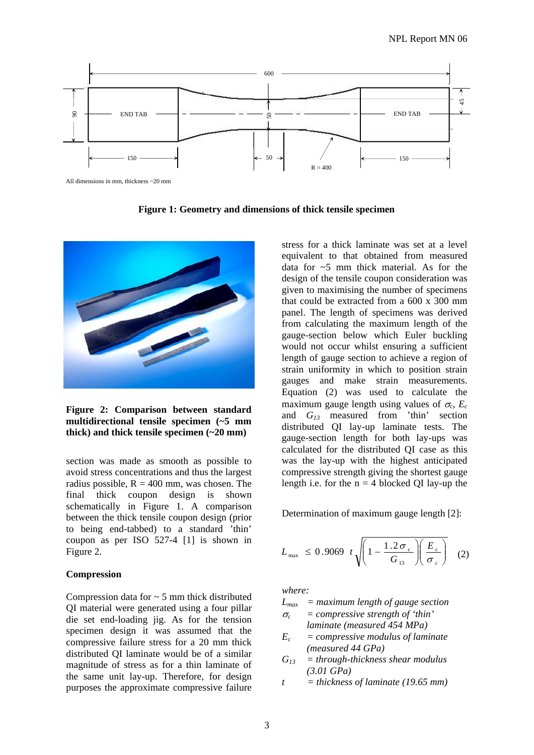

All dimensions in mm, thickness ~20 mm

**Figure 1: Geometry and dimensions of thick tensile specimen** 



**Figure 2: Comparison between standard multidirectional tensile specimen (~5 mm thick) and thick tensile specimen (~20 mm)** 

section was made as smooth as possible to avoid stress concentrations and thus the largest radius possible,  $R = 400$  mm, was chosen. The final thick coupon design is shown schematically in Figure 1. A comparison between the thick tensile coupon design (prior to being end-tabbed) to a standard 'thin' coupon as per ISO 527-4 [1] is shown in Figure 2.

#### **Compression**

Compression data for  $\sim$  5 mm thick distributed QI material were generated using a four pillar die set end-loading jig. As for the tension specimen design it was assumed that the compressive failure stress for a 20 mm thick distributed QI laminate would be of a similar magnitude of stress as for a thin laminate of the same unit lay-up. Therefore, for design purposes the approximate compressive failure stress for a thick laminate was set at a level equivalent to that obtained from measured data for ~5 mm thick material. As for the design of the tensile coupon consideration was given to maximising the number of specimens that could be extracted from a 600 x 300 mm panel. The length of specimens was derived from calculating the maximum length of the gauge-section below which Euler buckling would not occur whilst ensuring a sufficient length of gauge section to achieve a region of strain uniformity in which to position strain gauges and make strain measurements. Equation (2) was used to calculate the maximum gauge length using values of  $\sigma_c$ ,  $E_c$ and *G13* measured from 'thin' section distributed QI lay-up laminate tests. The gauge-section length for both lay-ups was calculated for the distributed QI case as this was the lay-up with the highest anticipated compressive strength giving the shortest gauge length i.e. for the  $n = 4$  blocked QI lay-up the

Determination of maximum gauge length [2]:

$$
L_{\text{max}} \leq 0.9069 \ t \sqrt{1 - \frac{1.2 \sigma_c}{G_{13}} \left( \frac{E_c}{\sigma_c} \right)} \quad (2)
$$

*where:* 

- *Lmax = maximum length of gauge section*  <sup>σ</sup>*c = compressive strength of 'thin'*
- *laminate (measured 454 MPa) Ec = compressive modulus of laminate (measured 44 GPa)*
- *G13 = through-thickness shear modulus (3.01 GPa)*
- *t = thickness of laminate (19.65 mm)*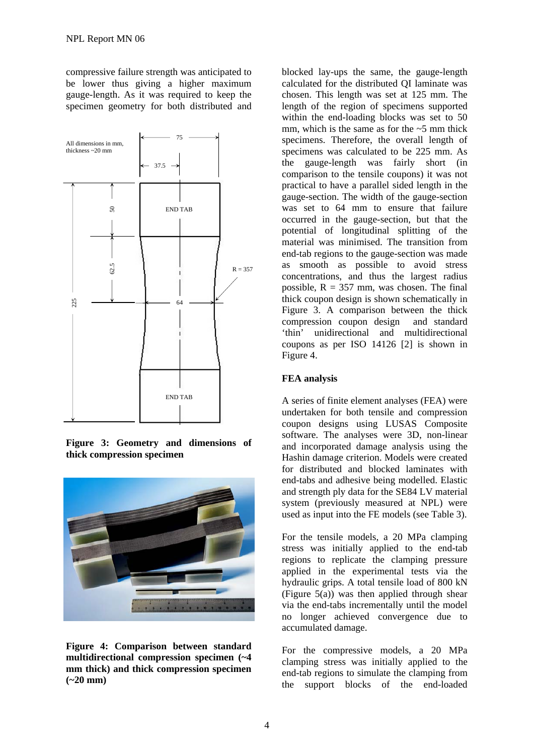compressive failure strength was anticipated to be lower thus giving a higher maximum gauge-length. As it was required to keep the specimen geometry for both distributed and



**Figure 3: Geometry and dimensions of thick compression specimen** 



**Figure 4: Comparison between standard multidirectional compression specimen (~4 mm thick) and thick compression specimen (~20 mm)** 

blocked lay-ups the same, the gauge-length calculated for the distributed QI laminate was chosen. This length was set at 125 mm. The length of the region of specimens supported within the end-loading blocks was set to 50 mm, which is the same as for the  $\sim$ 5 mm thick specimens. Therefore, the overall length of specimens was calculated to be 225 mm. As the gauge-length was fairly short (in comparison to the tensile coupons) it was not practical to have a parallel sided length in the gauge-section. The width of the gauge-section was set to 64 mm to ensure that failure occurred in the gauge-section, but that the potential of longitudinal splitting of the material was minimised. The transition from end-tab regions to the gauge-section was made as smooth as possible to avoid stress concentrations, and thus the largest radius possible,  $R = 357$  mm, was chosen. The final thick coupon design is shown schematically in Figure 3. A comparison between the thick compression coupon design and standard 'thin' unidirectional and multidirectional coupons as per ISO 14126 [2] is shown in Figure 4.

#### **FEA analysis**

A series of finite element analyses (FEA) were undertaken for both tensile and compression coupon designs using LUSAS Composite software. The analyses were 3D, non-linear and incorporated damage analysis using the Hashin damage criterion. Models were created for distributed and blocked laminates with end-tabs and adhesive being modelled. Elastic and strength ply data for the SE84 LV material system (previously measured at NPL) were used as input into the FE models (see Table 3).

For the tensile models, a 20 MPa clamping stress was initially applied to the end-tab regions to replicate the clamping pressure applied in the experimental tests via the hydraulic grips. A total tensile load of 800 kN (Figure  $5(a)$ ) was then applied through shear via the end-tabs incrementally until the model no longer achieved convergence due to accumulated damage.

For the compressive models, a 20 MPa clamping stress was initially applied to the end-tab regions to simulate the clamping from the support blocks of the end-loaded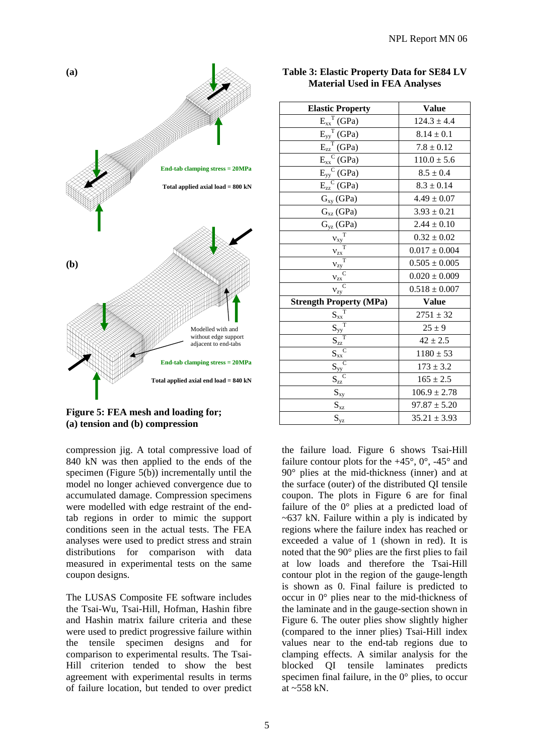

#### **Figure 5: FEA mesh and loading for; (a) tension and (b) compression**

compression jig. A total compressive load of 840 kN was then applied to the ends of the specimen (Figure 5(b)) incrementally until the model no longer achieved convergence due to accumulated damage. Compression specimens were modelled with edge restraint of the endtab regions in order to mimic the support conditions seen in the actual tests. The FEA analyses were used to predict stress and strain distributions for comparison with data measured in experimental tests on the same coupon designs.

The LUSAS Composite FE software includes the Tsai-Wu, Tsai-Hill, Hofman, Hashin fibre and Hashin matrix failure criteria and these were used to predict progressive failure within the tensile specimen designs and for comparison to experimental results. The Tsai-Hill criterion tended to show the best agreement with experimental results in terms of failure location, but tended to over predict

| <b>Elastic Property</b>                              | <b>Value</b>      |
|------------------------------------------------------|-------------------|
| $E_{xx}^T(GPa)$                                      | $124.3 \pm 4.4$   |
| $E_{yy}^T(GPa)$                                      | $8.14 \pm 0.1$    |
| $E_{zz}^T$ (GPa)                                     | $7.8 \pm 0.12$    |
| $E_{xx}^C(GPa)$                                      | $110.0 \pm 5.6$   |
| $E_{yy}^C(GPa)$                                      | $8.5 \pm 0.4$     |
| $E_{zz}^C(GPa)$                                      | $8.3 \pm 0.14$    |
| $G_{xy}$ (GPa)                                       | $4.49 \pm 0.07$   |
| $G_{xz}$ (GPa)                                       | $3.93 \pm 0.21$   |
| $G_{yz}$ (GPa)                                       | $2.44 \pm 0.10$   |
| $\frac{V_{xy}}{T}$                                   | $0.32 \pm 0.02$   |
| $\rm{V_{ZX}}$                                        | $0.017 \pm 0.004$ |
| $\overline{T}$<br>$V_{zy}$                           | $0.505 \pm 0.005$ |
| $v_{\underline{zx}}$                                 | $0.020 \pm 0.009$ |
| $\overline{C}$<br>$v_{zy}^{\quad q}$                 | $0.518 \pm 0.007$ |
| <b>Strength Property (MPa)</b>                       | <b>Value</b>      |
| $S_{xx}$                                             | $2751 \pm 32$     |
| $\overline{\mathbf{S}}_{\mathbf{yy}_{\overline{T}}}$ | $25 \pm 9$        |
| $S_{zz}$                                             | $42 \pm 2.5$      |
| $\overline{C}$<br>$S_{xx}$                           | $1180 \pm 53$     |
| $\mathcal{C}$<br>$S_{yy}^{\quad q}$                  | $173 \pm 3.2$     |
| $\mathcal{C}$<br>$S_{zz}$                            | $165 \pm 2.5$     |
| $S_{xy}$                                             | $106.9 \pm 2.78$  |
| $S_{xz}$                                             | $97.87 \pm 5.20$  |
| $S_{yz}$                                             | $35.21 \pm 3.93$  |

#### the failure load. Figure 6 shows Tsai-Hill failure contour plots for the  $+45^{\circ}$ , 0°, -45° and 90° plies at the mid-thickness (inner) and at the surface (outer) of the distributed QI tensile coupon. The plots in Figure 6 are for final failure of the 0° plies at a predicted load of  $\sim$  637 kN. Failure within a ply is indicated by regions where the failure index has reached or exceeded a value of 1 (shown in red). It is noted that the 90° plies are the first plies to fail at low loads and therefore the Tsai-Hill contour plot in the region of the gauge-length is shown as 0. Final failure is predicted to occur in 0° plies near to the mid-thickness of the laminate and in the gauge-section shown in Figure 6. The outer plies show slightly higher (compared to the inner plies) Tsai-Hill index values near to the end-tab regions due to clamping effects. A similar analysis for the blocked QI tensile laminates predicts specimen final failure, in the 0° plies, to occur at ~558 kN.

#### **Table 3: Elastic Property Data for SE84 LV Material Used in FEA Analyses**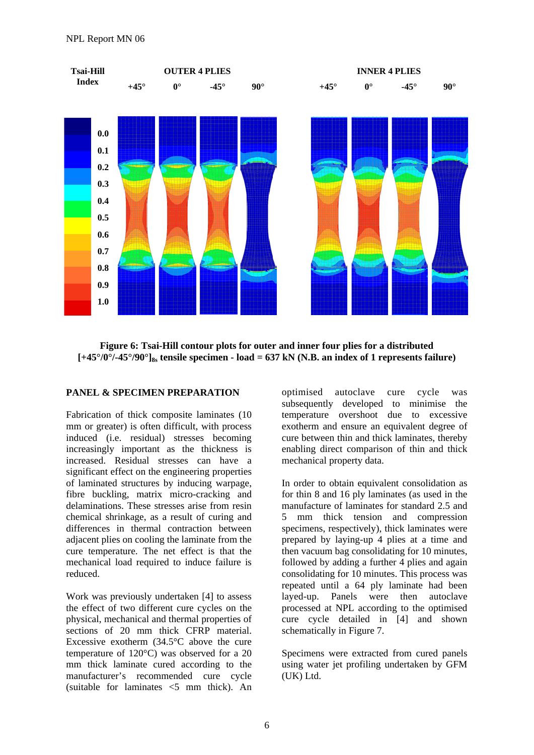

**Figure 6: Tsai-Hill contour plots for outer and inner four plies for a distributed**   $[-45^{\circ}/0^{\circ}$ / $-45^{\circ}/90^{\circ}]_{8s}$  tensile specimen - load = 637 kN (N.B. an index of 1 represents failure)

#### **PANEL & SPECIMEN PREPARATION**

Fabrication of thick composite laminates (10 mm or greater) is often difficult, with process induced (i.e. residual) stresses becoming increasingly important as the thickness is increased. Residual stresses can have a significant effect on the engineering properties of laminated structures by inducing warpage, fibre buckling, matrix micro-cracking and delaminations. These stresses arise from resin chemical shrinkage, as a result of curing and differences in thermal contraction between adjacent plies on cooling the laminate from the cure temperature. The net effect is that the mechanical load required to induce failure is reduced.

Work was previously undertaken [4] to assess the effect of two different cure cycles on the physical, mechanical and thermal properties of sections of 20 mm thick CFRP material. Excessive exotherm (34.5°C above the cure temperature of 120°C) was observed for a 20 mm thick laminate cured according to the manufacturer's recommended cure cycle (suitable for laminates <5 mm thick). An

optimised autoclave cure cycle was subsequently developed to minimise the temperature overshoot due to excessive exotherm and ensure an equivalent degree of cure between thin and thick laminates, thereby enabling direct comparison of thin and thick mechanical property data.

In order to obtain equivalent consolidation as for thin 8 and 16 ply laminates (as used in the manufacture of laminates for standard 2.5 and 5 mm thick tension and compression specimens, respectively), thick laminates were prepared by laying-up 4 plies at a time and then vacuum bag consolidating for 10 minutes, followed by adding a further 4 plies and again consolidating for 10 minutes. This process was repeated until a 64 ply laminate had been layed-up. Panels were then autoclave processed at NPL according to the optimised cure cycle detailed in [4] and shown schematically in Figure 7.

Specimens were extracted from cured panels using water jet profiling undertaken by GFM (UK) Ltd.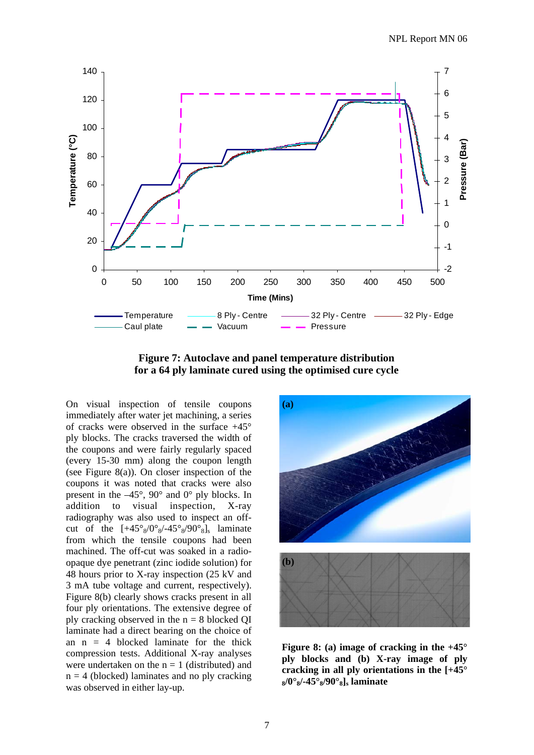

**Figure 7: Autoclave and panel temperature distribution for a 64 ply laminate cured using the optimised cure cycle** 

On visual inspection of tensile coupons immediately after water jet machining, a series of cracks were observed in the surface +45° ply blocks. The cracks traversed the width of the coupons and were fairly regularly spaced (every 15-30 mm) along the coupon length (see Figure 8(a)). On closer inspection of the coupons it was noted that cracks were also present in the –45°, 90° and 0° ply blocks. In addition to visual inspection, X-ray radiography was also used to inspect an offcut of the  $[+45^\circ_8/0^\circ_8/-45^\circ_8/90^\circ_8]$ , laminate from which the tensile coupons had been machined. The off-cut was soaked in a radioopaque dye penetrant (zinc iodide solution) for 48 hours prior to X-ray inspection (25 kV and 3 mA tube voltage and current, respectively). Figure 8(b) clearly shows cracks present in all four ply orientations. The extensive degree of ply cracking observed in the  $n = 8$  blocked QI laminate had a direct bearing on the choice of an  $n = 4$  blocked laminate for the thick compression tests. Additional X-ray analyses were undertaken on the  $n = 1$  (distributed) and  $n = 4$  (blocked) laminates and no ply cracking was observed in either lay-up.



**Figure 8: (a) image of cracking in the +45° ply blocks and (b) X-ray image of ply cracking in all ply orientations in the [+45° 8/0°8/-45°8/90°8]s laminate**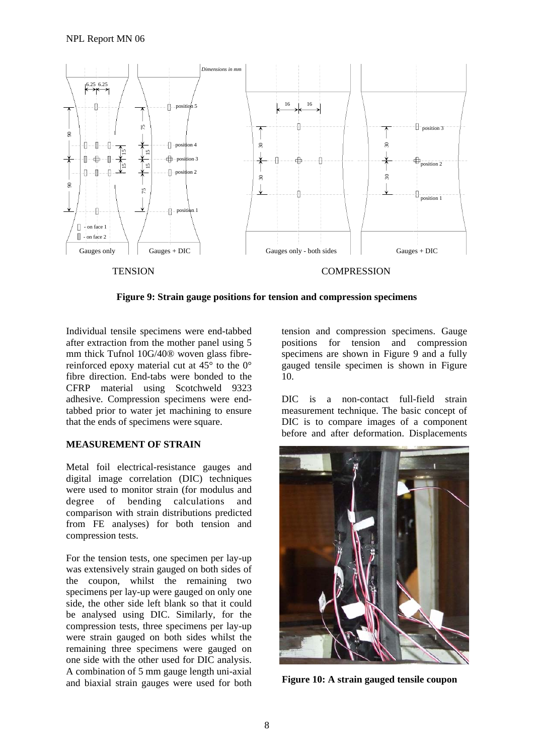

**Figure 9: Strain gauge positions for tension and compression specimens** 

Individual tensile specimens were end-tabbed after extraction from the mother panel using 5 mm thick Tufnol 10G/40® woven glass fibrereinforced epoxy material cut at 45° to the 0° fibre direction. End-tabs were bonded to the CFRP material using Scotchweld 9323 adhesive. Compression specimens were endtabbed prior to water jet machining to ensure that the ends of specimens were square.

#### **MEASUREMENT OF STRAIN**

Metal foil electrical-resistance gauges and digital image correlation (DIC) techniques were used to monitor strain (for modulus and degree of bending calculations and comparison with strain distributions predicted from FE analyses) for both tension and compression tests.

For the tension tests, one specimen per lay-up was extensively strain gauged on both sides of the coupon, whilst the remaining two specimens per lay-up were gauged on only one side, the other side left blank so that it could be analysed using DIC. Similarly, for the compression tests, three specimens per lay-up were strain gauged on both sides whilst the remaining three specimens were gauged on one side with the other used for DIC analysis. A combination of 5 mm gauge length uni-axial and biaxial strain gauges were used for both

tension and compression specimens. Gauge positions for tension and compression specimens are shown in Figure 9 and a fully gauged tensile specimen is shown in Figure 10.

DIC is a non-contact full-field strain measurement technique. The basic concept of DIC is to compare images of a component before and after deformation. Displacements



**Figure 10: A strain gauged tensile coupon**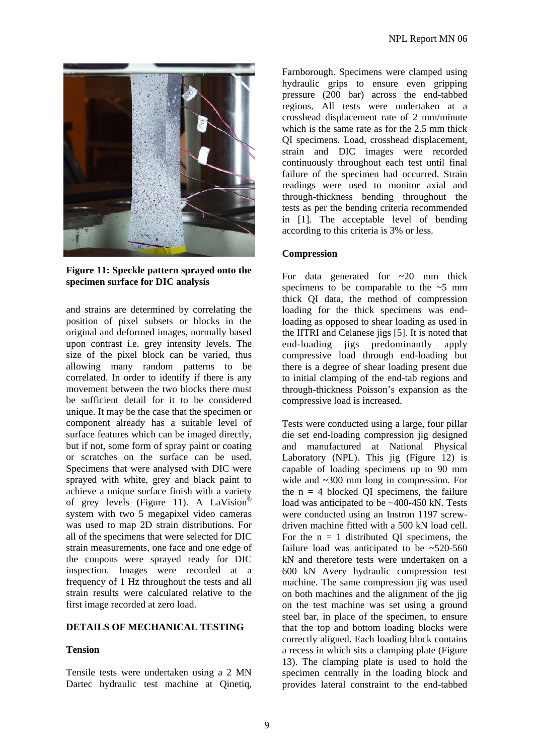

**Figure 11: Speckle pattern sprayed onto the specimen surface for DIC analysis**

and strains are determined by correlating the position of pixel subsets or blocks in the original and deformed images, normally based upon contrast i.e. grey intensity levels. The size of the pixel block can be varied, thus allowing many random patterns to be correlated. In order to identify if there is any movement between the two blocks there must be sufficient detail for it to be considered unique. It may be the case that the specimen or component already has a suitable level of surface features which can be imaged directly, but if not, some form of spray paint or coating or scratches on the surface can be used. Specimens that were analysed with DIC were sprayed with white, grey and black paint to achieve a unique surface finish with a variety of grey levels (Figure 11). A LaVision® system with two 5 megapixel video cameras was used to map 2D strain distributions. For all of the specimens that were selected for DIC strain measurements, one face and one edge of the coupons were sprayed ready for DIC inspection. Images were recorded at a frequency of 1 Hz throughout the tests and all strain results were calculated relative to the first image recorded at zero load.

#### **DETAILS OF MECHANICAL TESTING**

#### **Tension**

Tensile tests were undertaken using a 2 MN Dartec hydraulic test machine at Oinetig, Farnborough. Specimens were clamped using hydraulic grips to ensure even gripping pressure (200 bar) across the end-tabbed regions. All tests were undertaken at a crosshead displacement rate of 2 mm/minute which is the same rate as for the 2.5 mm thick QI specimens. Load, crosshead displacement, strain and DIC images were recorded continuously throughout each test until final failure of the specimen had occurred. Strain readings were used to monitor axial and through-thickness bending throughout the tests as per the bending criteria recommended in [1]. The acceptable level of bending according to this criteria is 3% or less.

#### **Compression**

For data generated for  $\sim$  20 mm thick specimens to be comparable to the  $\sim$ 5 mm thick QI data, the method of compression loading for the thick specimens was endloading as opposed to shear loading as used in the IITRI and Celanese jigs [5]. It is noted that end-loading jigs predominantly apply compressive load through end-loading but there is a degree of shear loading present due to initial clamping of the end-tab regions and through-thickness Poisson's expansion as the compressive load is increased.

Tests were conducted using a large, four pillar die set end-loading compression jig designed and manufactured at National Physical Laboratory (NPL). This jig (Figure 12) is capable of loading specimens up to 90 mm wide and  $\sim$ 300 mm long in compression. For the  $n = 4$  blocked QI specimens, the failure load was anticipated to be ~400-450 kN. Tests were conducted using an Instron 1197 screwdriven machine fitted with a 500 kN load cell. For the  $n = 1$  distributed OI specimens, the failure load was anticipated to be  $\approx 520-560$ kN and therefore tests were undertaken on a 600 kN Avery hydraulic compression test machine. The same compression jig was used on both machines and the alignment of the jig on the test machine was set using a ground steel bar, in place of the specimen, to ensure that the top and bottom loading blocks were correctly aligned. Each loading block contains a recess in which sits a clamping plate (Figure 13). The clamping plate is used to hold the specimen centrally in the loading block and provides lateral constraint to the end-tabbed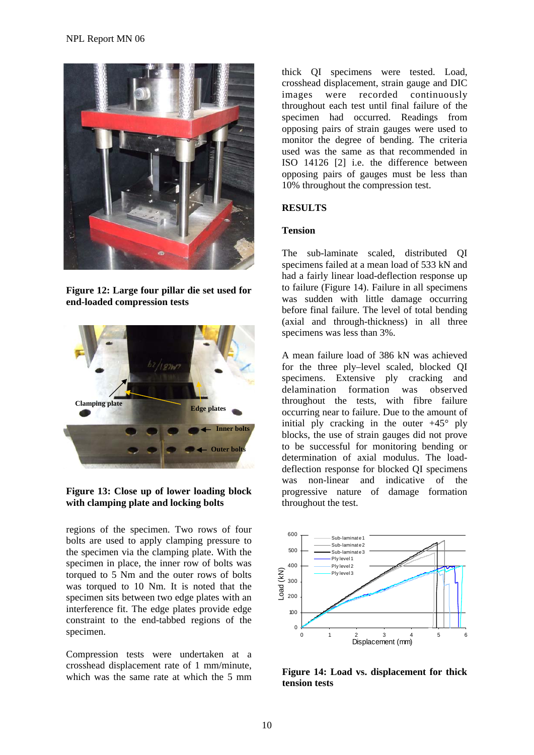

**Figure 12: Large four pillar die set used for end-loaded compression tests**



# **Figure 13: Close up of lower loading block with clamping plate and locking bolts**

regions of the specimen. Two rows of four bolts are used to apply clamping pressure to the specimen via the clamping plate. With the specimen in place, the inner row of bolts was torqued to 5 Nm and the outer rows of bolts was torqued to 10 Nm. It is noted that the specimen sits between two edge plates with an interference fit. The edge plates provide edge constraint to the end-tabbed regions of the specimen.

Compression tests were undertaken at a crosshead displacement rate of 1 mm/minute, which was the same rate at which the 5 mm thick QI specimens were tested. Load, crosshead displacement, strain gauge and DIC images were recorded continuously throughout each test until final failure of the specimen had occurred. Readings from opposing pairs of strain gauges were used to monitor the degree of bending. The criteria used was the same as that recommended in ISO 14126 [2] i.e. the difference between opposing pairs of gauges must be less than 10% throughout the compression test.

# **RESULTS**

# **Tension**

The sub-laminate scaled, distributed QI specimens failed at a mean load of 533 kN and had a fairly linear load-deflection response up to failure (Figure 14). Failure in all specimens was sudden with little damage occurring before final failure. The level of total bending (axial and through-thickness) in all three specimens was less than 3%.

A mean failure load of 386 kN was achieved for the three ply–level scaled, blocked QI specimens. Extensive ply cracking and delamination formation was observed throughout the tests, with fibre failure occurring near to failure. Due to the amount of initial ply cracking in the outer  $+45^{\circ}$  ply blocks, the use of strain gauges did not prove to be successful for monitoring bending or determination of axial modulus. The loaddeflection response for blocked QI specimens was non-linear and indicative of the progressive nature of damage formation throughout the test.



**Figure 14: Load vs. displacement for thick tension tests**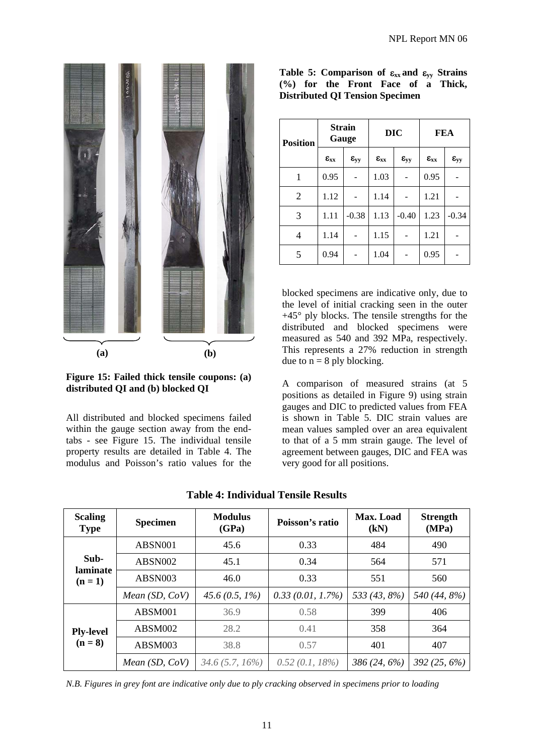

**Figure 15: Failed thick tensile coupons: (a) distributed QI and (b) blocked QI** 

All distributed and blocked specimens failed within the gauge section away from the endtabs - see Figure 15. The individual tensile property results are detailed in Table 4. The modulus and Poisson's ratio values for the

|  |                                        |  |  | Table 5: Comparison of $\varepsilon_{xx}$ and $\varepsilon_{yy}$ Strains |
|--|----------------------------------------|--|--|--------------------------------------------------------------------------|
|  |                                        |  |  | (%) for the Front Face of a Thick,                                       |
|  | <b>Distributed QI Tension Specimen</b> |  |  |                                                                          |

| <b>Position</b> | <b>Strain</b><br>Gauge |                 |                 | <b>DIC</b>      | <b>FEA</b>      |                 |
|-----------------|------------------------|-----------------|-----------------|-----------------|-----------------|-----------------|
|                 | $\epsilon_{xx}$        | $\epsilon_{yy}$ | $\epsilon_{xx}$ | $\epsilon_{yy}$ | $\epsilon_{xx}$ | $\epsilon_{yy}$ |
| 1               | 0.95                   |                 | 1.03            |                 | 0.95            |                 |
| $\overline{2}$  | 1.12                   |                 | 1.14            |                 | 1.21            |                 |
| 3               | 1.11                   | $-0.38$         | 1.13            | $-0.40$         | 1.23            | $-0.34$         |
| 4               | 1.14                   |                 | 1.15            |                 | 1.21            |                 |
| 5               | 0.94                   |                 | 1.04            |                 | 0.95            |                 |

blocked specimens are indicative only, due to the level of initial cracking seen in the outer +45° ply blocks. The tensile strengths for the distributed and blocked specimens were measured as 540 and 392 MPa, respectively. This represents a 27% reduction in strength due to  $n = 8$  ply blocking.

A comparison of measured strains (at 5 positions as detailed in Figure 9) using strain gauges and DIC to predicted values from FEA is shown in Table 5. DIC strain values are mean values sampled over an area equivalent to that of a 5 mm strain gauge. The level of agreement between gauges, DIC and FEA was very good for all positions.

| <b>Scaling</b><br><b>Type</b> | <b>Specimen</b>  | <b>Modulus</b><br>(GPa) | Poisson's ratio     | Max. Load<br>(kN) | <b>Strength</b><br>(MPa) |
|-------------------------------|------------------|-------------------------|---------------------|-------------------|--------------------------|
|                               | ABSN001          | 45.6                    | 0.33                | 484               | 490                      |
| Sub-<br>laminate              | ABSN002          | 45.1                    | 0.34                | 564               | 571                      |
| $(n=1)$                       | ABSN003          | 46.0                    | 0.33                | 551               | 560                      |
|                               | Mean $(SD, CoV)$ | 45.6 $(0.5, 1\%)$       | $0.33(0.01, 1.7\%)$ | 533 (43, 8%)      | 540 (44, 8%)             |
|                               | ABSM001          | 36.9                    | 0.58                | 399               | 406                      |
| <b>Ply-level</b>              | ABSM002          | 28.2                    | 0.41                | 358               | 364                      |
| $(n=8)$                       | ABSM003          | 38.8                    | 0.57                | 401               | 407                      |
|                               | Mean $(SD, CoV)$ | $34.6(5.7, 16\%)$       | $0.52(0.1, 18\%)$   | $386(24, 6\%)$    | $392(25, 6\%)$           |

**Table 4: Individual Tensile Results** 

*N.B. Figures in grey font are indicative only due to ply cracking observed in specimens prior to loading*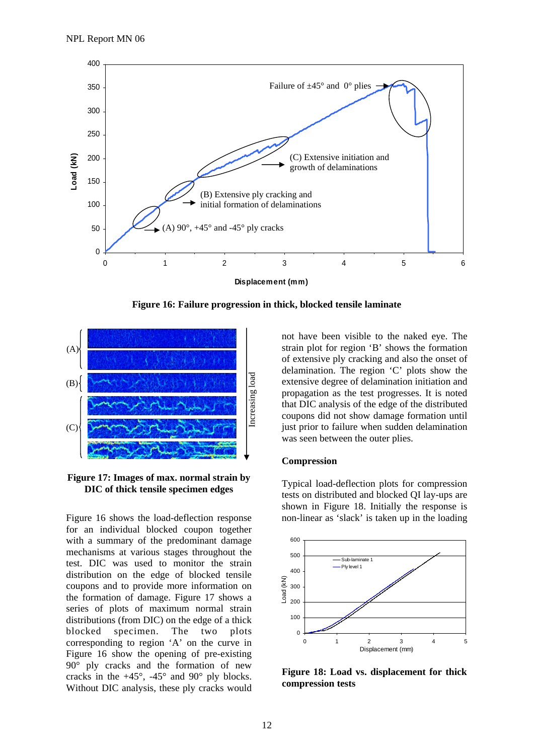

**Figure 16: Failure progression in thick, blocked tensile laminate** 



**Figure 17: Images of max. normal strain by DIC of thick tensile specimen edges** 

Figure 16 shows the load-deflection response for an individual blocked coupon together with a summary of the predominant damage mechanisms at various stages throughout the test. DIC was used to monitor the strain distribution on the edge of blocked tensile coupons and to provide more information on the formation of damage. Figure 17 shows a series of plots of maximum normal strain distributions (from DIC) on the edge of a thick blocked specimen. The two plots corresponding to region 'A' on the curve in Figure 16 show the opening of pre-existing 90° ply cracks and the formation of new cracks in the  $+45^{\circ}$ ,  $-45^{\circ}$  and  $90^{\circ}$  ply blocks. Without DIC analysis, these ply cracks would

not have been visible to the naked eye. The strain plot for region 'B' shows the formation of extensive ply cracking and also the onset of delamination. The region 'C' plots show the extensive degree of delamination initiation and propagation as the test progresses. It is noted that DIC analysis of the edge of the distributed coupons did not show damage formation until just prior to failure when sudden delamination was seen between the outer plies.

#### **Compression**

Typical load-deflection plots for compression tests on distributed and blocked QI lay-ups are shown in Figure 18. Initially the response is non-linear as 'slack' is taken up in the loading



**Figure 18: Load vs. displacement for thick compression tests**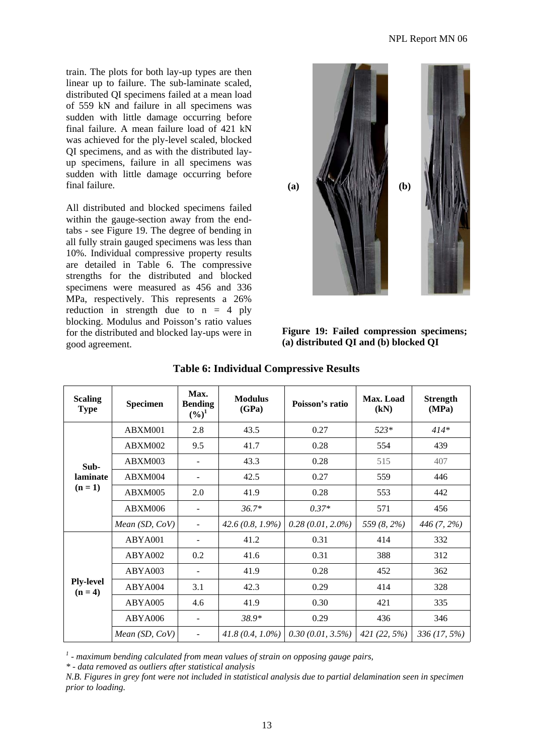train. The plots for both lay-up types are then linear up to failure. The sub-laminate scaled, distributed QI specimens failed at a mean load of 559 kN and failure in all specimens was sudden with little damage occurring before final failure. A mean failure load of 421 kN was achieved for the ply-level scaled, blocked QI specimens, and as with the distributed layup specimens, failure in all specimens was sudden with little damage occurring before final failure.

All distributed and blocked specimens failed within the gauge-section away from the endtabs - see Figure 19. The degree of bending in all fully strain gauged specimens was less than 10%. Individual compressive property results are detailed in Table 6. The compressive strengths for the distributed and blocked specimens were measured as 456 and 336 MPa, respectively. This represents a 26% reduction in strength due to  $n = 4$  ply blocking. Modulus and Poisson's ratio values for the distributed and blocked lay-ups were in good agreement.



**Figure 19: Failed compression specimens; (a) distributed QI and (b) blocked QI** 

| <b>Scaling</b><br><b>Type</b> | <b>Specimen</b>  | Max.<br><b>Bending</b><br>$(\%)^1$ | <b>Modulus</b><br>(GPa) | Poisson's ratio     | Max. Load<br>(kN) | <b>Strength</b><br>(MPa) |
|-------------------------------|------------------|------------------------------------|-------------------------|---------------------|-------------------|--------------------------|
|                               | ABXM001          | 2.8                                | 43.5                    | 0.27                | $523*$            | $414*$                   |
|                               | ABXM002          | 9.5                                | 41.7                    | 0.28                | 554               | 439                      |
| Sub-                          | ABXM003          | $\overline{\phantom{a}}$           | 43.3                    | 0.28                | 515               | 407                      |
| laminate                      | ABXM004          |                                    | 42.5                    | 0.27                | 559               | 446                      |
| $(n=1)$                       | ABXM005          | 2.0                                | 41.9                    | 0.28                | 553               | 442                      |
|                               | ABXM006          |                                    | $36.7*$                 | $0.37*$             | 571               | 456                      |
|                               | Mean $(SD, CoV)$ | $\overline{\phantom{a}}$           | $42.6(0.8, 1.9\%)$      | $0.28(0.01, 2.0\%)$ | 559 (8, 2%)       | 446 (7, 2%)              |
|                               | ABYA001          |                                    | 41.2                    | 0.31                | 414               | 332                      |
|                               | ABYA002          | 0.2                                | 41.6                    | 0.31                | 388               | 312                      |
|                               | ABYA003          |                                    | 41.9                    | 0.28                | 452               | 362                      |
| <b>Ply-level</b><br>$(n=4)$   | ABYA004          | 3.1                                | 42.3                    | 0.29                | 414               | 328                      |
|                               | ABYA005          | 4.6                                | 41.9                    | 0.30                | 421               | 335                      |
|                               | ABYA006          | $\overline{\phantom{a}}$           | 38.9*                   | 0.29                | 436               | 346                      |
|                               | Mean $(SD, CoV)$ |                                    | $41.8(0.4, 1.0\%)$      | $0.30(0.01, 3.5\%)$ | $421(22, 5\%)$    | $336(17, 5\%)$           |

# **Table 6: Individual Compressive Results**

<sup>1</sup> - maximum bending calculated from mean values of strain on opposing gauge pairs,

*\* - data removed as outliers after statistical analysis* 

*N.B. Figures in grey font were not included in statistical analysis due to partial delamination seen in specimen prior to loading.*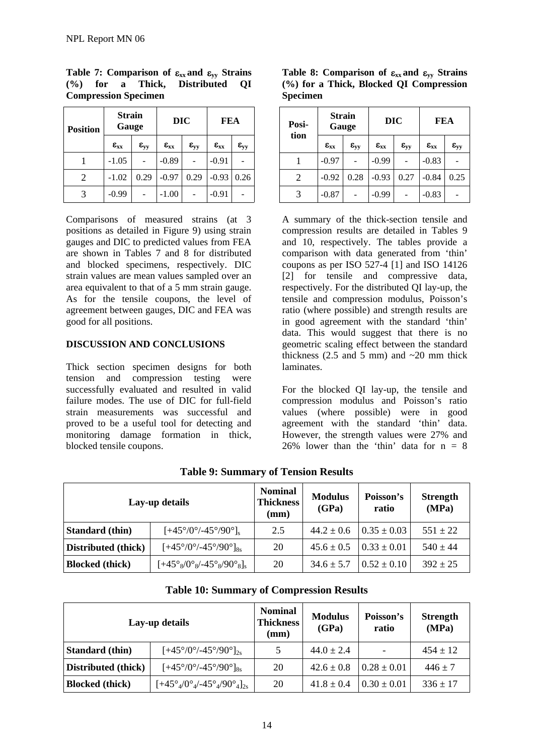| <b>Position</b> | <b>Strain</b><br>Gauge |                 |                 | DIC                | FEA             |                 |
|-----------------|------------------------|-----------------|-----------------|--------------------|-----------------|-----------------|
|                 | $\epsilon_{xx}$        | $\epsilon_{yy}$ | $\epsilon_{xx}$ | $\varepsilon_{yy}$ | $\epsilon_{xx}$ | $\epsilon_{yy}$ |
|                 | $-1.05$                |                 | $-0.89$         |                    | $-0.91$         |                 |
| 2               | $-1.02$                | 0.29            | $-0.97$         | 0.29               | $-0.93$         | 0.26            |
|                 | $-0.99$                |                 | $-1.00$         |                    | $-0.91$         |                 |

**Table 7: Comparison of** ε**xx and** ε**yy Strains (%) for a Thick, Distributed QI Compression Specimen** 

Comparisons of measured strains (at 3 positions as detailed in Figure 9) using strain gauges and DIC to predicted values from FEA are shown in Tables 7 and 8 for distributed and blocked specimens, respectively. DIC strain values are mean values sampled over an area equivalent to that of a 5 mm strain gauge. As for the tensile coupons, the level of agreement between gauges, DIC and FEA was good for all positions.

#### **DISCUSSION AND CONCLUSIONS**

Thick section specimen designs for both tension and compression testing were successfully evaluated and resulted in valid failure modes. The use of DIC for full-field strain measurements was successful and proved to be a useful tool for detecting and monitoring damage formation in thick, blocked tensile coupons.

**Table 8: Comparison of** ε**xx and** ε**yy Strains (%) for a Thick, Blocked QI Compression Specimen** 

| Posi-<br>tion | <b>Strain</b><br>Gauge |                 |                 | <b>DIC</b>      | <b>FEA</b>      |                 |
|---------------|------------------------|-----------------|-----------------|-----------------|-----------------|-----------------|
|               | $\epsilon_{xx}$        | $\epsilon_{yy}$ | $\epsilon_{xx}$ | $\epsilon_{yy}$ | $\epsilon_{xx}$ | $\epsilon_{yy}$ |
|               | $-0.97$                |                 | $-0.99$         |                 | $-0.83$         |                 |
| 2             | $-0.92$                | 0.28            | $-0.93$         | 0.27            | $-0.84$         | 0.25            |
|               | $-0.87$                |                 | $-0.99$         |                 | $-0.83$         |                 |

A summary of the thick-section tensile and compression results are detailed in Tables 9 and 10, respectively. The tables provide a comparison with data generated from 'thin' coupons as per ISO 527-4 [1] and ISO 14126 [2] for tensile and compressive data, respectively. For the distributed QI lay-up, the tensile and compression modulus, Poisson's ratio (where possible) and strength results are in good agreement with the standard 'thin' data. This would suggest that there is no geometric scaling effect between the standard thickness (2.5 and 5 mm) and  $\sim$  20 mm thick laminates.

For the blocked QI lay-up, the tensile and compression modulus and Poisson's ratio values (where possible) were in good agreement with the standard 'thin' data. However, the strength values were 27% and 26% lower than the 'thin' data for  $n = 8$ 

| Lay-up details         |                                                                      | <b>Nominal</b><br><b>Thickness</b><br>(mm) | <b>Modulus</b><br>(GPa) | Poisson's<br>ratio | <b>Strength</b><br>(MPa) |
|------------------------|----------------------------------------------------------------------|--------------------------------------------|-------------------------|--------------------|--------------------------|
| <b>Standard</b> (thin) | $[+45^{\circ}/0^{\circ}/-45^{\circ}/90^{\circ}]_{s}$                 | 2.5                                        | $44.2 \pm 0.6$          | $0.35 \pm 0.03$    | $551 \pm 22$             |
| Distributed (thick)    | $[+45^{\circ}/0^{\circ}/-45^{\circ}/90^{\circ}]_{8s}$                | 20                                         | $45.6 \pm 0.5$          | $0.33 \pm 0.01$    | $540 \pm 44$             |
| <b>Blocked</b> (thick) | $[-45^{\circ}_{8}/0^{\circ}_{8}/-45^{\circ}_{8}/90^{\circ}_{8}]_{s}$ | 20                                         | $34.6 \pm 5.7$          | $0.52 \pm 0.10$    | $392 \pm 25$             |

**Table 9: Summary of Tension Results** 

**Table 10: Summary of Compression Results** 

| Lay-up details         |                                                                       | <b>Nominal</b><br><b>Thickness</b><br>(mm) | <b>Modulus</b><br>(GPa) | Poisson's<br>ratio | <b>Strength</b><br>(MPa) |
|------------------------|-----------------------------------------------------------------------|--------------------------------------------|-------------------------|--------------------|--------------------------|
| <b>Standard</b> (thin) | $[+45^{\circ}/0^{\circ}/-45^{\circ}/90^{\circ}]_{2s}$                 | 5                                          | $44.0 \pm 2.4$          |                    | $454 \pm 12$             |
| Distributed (thick)    | $[+45^{\circ}/0^{\circ}/-45^{\circ}/90^{\circ}]_{8s}$                 | 20                                         | $42.6 \pm 0.8$          | $0.28 \pm 0.01$    | $446 \pm 7$              |
| <b>Blocked</b> (thick) | $[+45^{\circ}_{4}/0^{\circ}_{4}/-45^{\circ}_{4}/90^{\circ}_{4}]_{2s}$ | 20                                         | $41.8 \pm 0.4$          | $0.30 \pm 0.01$    | $336 \pm 17$             |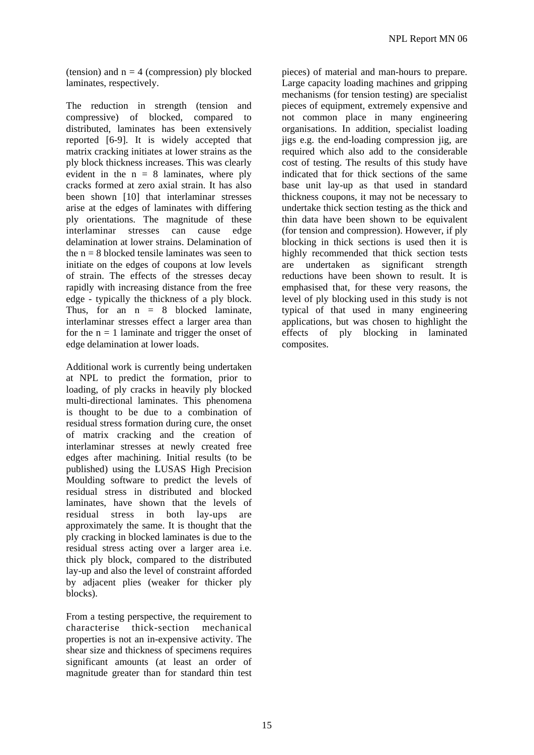(tension) and  $n = 4$  (compression) ply blocked laminates, respectively.

The reduction in strength (tension and compressive) of blocked, compared to distributed, laminates has been extensively reported [6-9]. It is widely accepted that matrix cracking initiates at lower strains as the ply block thickness increases. This was clearly evident in the  $n = 8$  laminates, where ply cracks formed at zero axial strain. It has also been shown [10] that interlaminar stresses arise at the edges of laminates with differing ply orientations. The magnitude of these interlaminar stresses can cause edge delamination at lower strains. Delamination of the  $n = 8$  blocked tensile laminates was seen to initiate on the edges of coupons at low levels of strain. The effects of the stresses decay rapidly with increasing distance from the free edge - typically the thickness of a ply block. Thus, for an  $n = 8$  blocked laminate, interlaminar stresses effect a larger area than for the  $n = 1$  laminate and trigger the onset of edge delamination at lower loads.

Additional work is currently being undertaken at NPL to predict the formation, prior to loading, of ply cracks in heavily ply blocked multi-directional laminates. This phenomena is thought to be due to a combination of residual stress formation during cure, the onset of matrix cracking and the creation of interlaminar stresses at newly created free edges after machining. Initial results (to be published) using the LUSAS High Precision Moulding software to predict the levels of residual stress in distributed and blocked laminates, have shown that the levels of residual stress in both lay-ups are approximately the same. It is thought that the ply cracking in blocked laminates is due to the residual stress acting over a larger area i.e. thick ply block, compared to the distributed lay-up and also the level of constraint afforded by adjacent plies (weaker for thicker ply blocks).

From a testing perspective, the requirement to characterise thick-section mechanical properties is not an in-expensive activity. The shear size and thickness of specimens requires significant amounts (at least an order of magnitude greater than for standard thin test pieces) of material and man-hours to prepare. Large capacity loading machines and gripping mechanisms (for tension testing) are specialist pieces of equipment, extremely expensive and not common place in many engineering organisations. In addition, specialist loading jigs e.g. the end-loading compression jig, are required which also add to the considerable cost of testing. The results of this study have indicated that for thick sections of the same base unit lay-up as that used in standard thickness coupons, it may not be necessary to undertake thick section testing as the thick and thin data have been shown to be equivalent (for tension and compression). However, if ply blocking in thick sections is used then it is highly recommended that thick section tests are undertaken as significant strength reductions have been shown to result. It is emphasised that, for these very reasons, the level of ply blocking used in this study is not typical of that used in many engineering applications, but was chosen to highlight the effects of ply blocking in laminated composites.